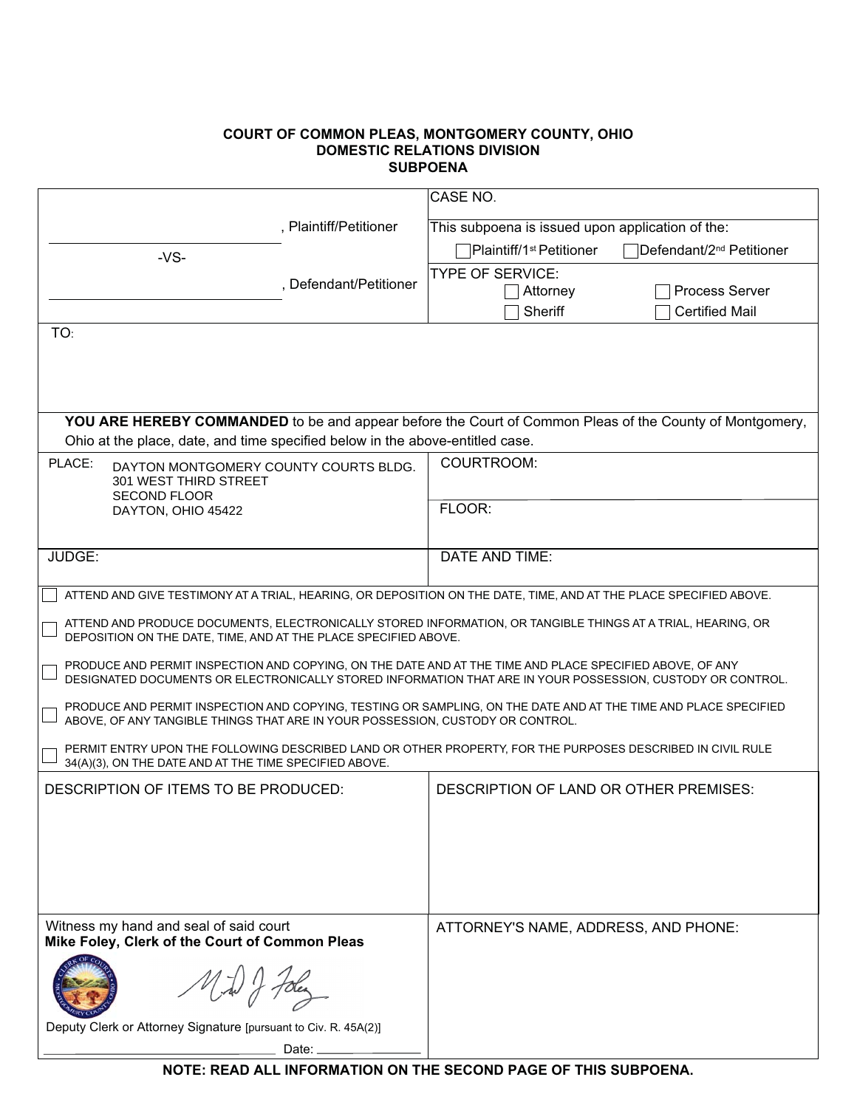## **COURT OF COMMON PLEAS, MONTGOMERY COUNTY, OHIO SUBPOENA**

|                                                                                                                                                                                | CASE NO.                                                                                                          |  |  |  |  |
|--------------------------------------------------------------------------------------------------------------------------------------------------------------------------------|-------------------------------------------------------------------------------------------------------------------|--|--|--|--|
| , Plaintiff/Petitioner                                                                                                                                                         | This subpoena is issued upon application of the:                                                                  |  |  |  |  |
| $-VS-$                                                                                                                                                                         | Plaintiff/1 <sup>st</sup> Petitioner<br>Defendant/2 <sup>nd</sup> Petitioner                                      |  |  |  |  |
| , Defendant/Petitioner                                                                                                                                                         | <b>TYPE OF SERVICE:</b>                                                                                           |  |  |  |  |
|                                                                                                                                                                                | <b>Process Server</b><br>Attorney                                                                                 |  |  |  |  |
|                                                                                                                                                                                | Sheriff<br><b>Certified Mail</b>                                                                                  |  |  |  |  |
| TO:                                                                                                                                                                            |                                                                                                                   |  |  |  |  |
|                                                                                                                                                                                |                                                                                                                   |  |  |  |  |
|                                                                                                                                                                                |                                                                                                                   |  |  |  |  |
|                                                                                                                                                                                | YOU ARE HEREBY COMMANDED to be and appear before the Court of Common Pleas of the County of Montgomery,           |  |  |  |  |
| Ohio at the place, date, and time specified below in the above-entitled case.                                                                                                  |                                                                                                                   |  |  |  |  |
| PLACE:<br>DAYTON MONTGOMERY COUNTY COURTS BLDG.                                                                                                                                | COURTROOM:                                                                                                        |  |  |  |  |
| 301 WEST THIRD STREET                                                                                                                                                          |                                                                                                                   |  |  |  |  |
| <b>SECOND FLOOR</b><br>DAYTON, OHIO 45422                                                                                                                                      | FLOOR:                                                                                                            |  |  |  |  |
|                                                                                                                                                                                |                                                                                                                   |  |  |  |  |
| JUDGE:                                                                                                                                                                         | DATE AND TIME:                                                                                                    |  |  |  |  |
|                                                                                                                                                                                |                                                                                                                   |  |  |  |  |
|                                                                                                                                                                                | ATTEND AND GIVE TESTIMONY AT A TRIAL, HEARING, OR DEPOSITION ON THE DATE, TIME, AND AT THE PLACE SPECIFIED ABOVE. |  |  |  |  |
| ATTEND AND PRODUCE DOCUMENTS, ELECTRONICALLY STORED INFORMATION, OR TANGIBLE THINGS AT A TRIAL, HEARING, OR<br>DEPOSITION ON THE DATE, TIME, AND AT THE PLACE SPECIFIED ABOVE. |                                                                                                                   |  |  |  |  |
| PRODUCE AND PERMIT INSPECTION AND COPYING, ON THE DATE AND AT THE TIME AND PLACE SPECIFIED ABOVE, OF ANY                                                                       | DESIGNATED DOCUMENTS OR ELECTRONICALLY STORED INFORMATION THAT ARE IN YOUR POSSESSION, CUSTODY OR CONTROL.        |  |  |  |  |
| ABOVE, OF ANY TANGIBLE THINGS THAT ARE IN YOUR POSSESSION, CUSTODY OR CONTROL.                                                                                                 | PRODUCE AND PERMIT INSPECTION AND COPYING, TESTING OR SAMPLING, ON THE DATE AND AT THE TIME AND PLACE SPECIFIED   |  |  |  |  |
| 34(A)(3), ON THE DATE AND AT THE TIME SPECIFIED ABOVE.                                                                                                                         | PERMIT ENTRY UPON THE FOLLOWING DESCRIBED LAND OR OTHER PROPERTY, FOR THE PURPOSES DESCRIBED IN CIVIL RULE        |  |  |  |  |
| DESCRIPTION OF ITEMS TO BE PRODUCED:                                                                                                                                           | DESCRIPTION OF LAND OR OTHER PREMISES:                                                                            |  |  |  |  |
|                                                                                                                                                                                |                                                                                                                   |  |  |  |  |
|                                                                                                                                                                                |                                                                                                                   |  |  |  |  |
|                                                                                                                                                                                |                                                                                                                   |  |  |  |  |
|                                                                                                                                                                                |                                                                                                                   |  |  |  |  |
| Witness my hand and seal of said court                                                                                                                                         |                                                                                                                   |  |  |  |  |
| Mike Foley, Clerk of the Court of Common Pleas                                                                                                                                 | ATTORNEY'S NAME, ADDRESS, AND PHONE:                                                                              |  |  |  |  |
| y foles                                                                                                                                                                        |                                                                                                                   |  |  |  |  |
| Deputy Clerk or Attorney Signature [pursuant to Civ. R. 45A(2)]                                                                                                                |                                                                                                                   |  |  |  |  |
| Date:                                                                                                                                                                          |                                                                                                                   |  |  |  |  |

**NOTE: READ ALL INFORMATION ON THE SECOND PAGE OF THIS SUBPOENA.**